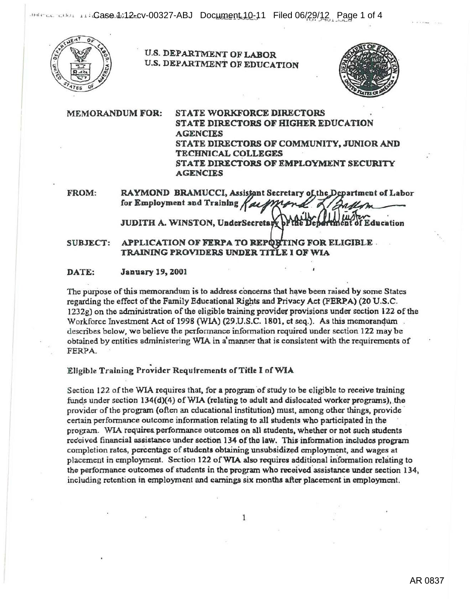

# U.S. DEPARTMENT OF LABOR U.S. DEPARTMENT OF EDUCATION



MEMORANDUM FOR: STATE WORKFORCE DIRECTORS STATE DIRECTORS OF HIGHER EDUCATION **AGENCIES** STATE DIRECTORS OF COMMUNITY, JUNIOR AND TECHNICAL COLLEGES STATE DIRECTORS OF EMPLOYMENT SECURITY AGENCIES

FROM: RAYMOND BRAMUCCI, Assistant Secretary of the Department of Labor for Employment and Training ~ JUDITH A. WINSTON, UnderSecretary by **Education** 

SUBJECT: APPLICATION OF FERPA TO REPORTING FOR ELIGIBLE. TRAINING PROVIDERS UNDER TITLE I OF WIA

#### DATE: January 19, 2001

The purpose of this memorandum is to address concerns that have been raised by some States regarding the effect of the Family Educational Rights and Privacy Act (FERPA) (20 U.S.C. 1232g) on the administration of the eligible training provider provisions under section 122 of the Workforce Investment Act of 1998 (WIA) (29.U.S.C. 1801, et seq.). As this memorandum. describes below, we believe the performance information required under section 122 may be obtained by entities administering WIA in a'manner that is consistent with the requirements of FERPA.

# Eligible Training Provider Requirements of Title I of WIA

Section 122 of the WIA requires that, for a program of study to be eligible to receive training funds under section  $134(d)(4)$  of WIA (relating to adult and dislocated worker programs), the provider of the program (often an educational institution) must, among other things, provide certain performance outcome information relating to all students who participated in the program. WIA requires performance outcomes on all students, whether or not such students received financial assistance under section 134 of the law. This information includes program completion rates, percentage of students obtaining unsubsidized employment, and wages at placement in employment. Section 122 of WIA also requires additional information relating to the performance outcomes of students in the program who received assistance under section 134, including retention in employment and earnings six months after placement in employment.

1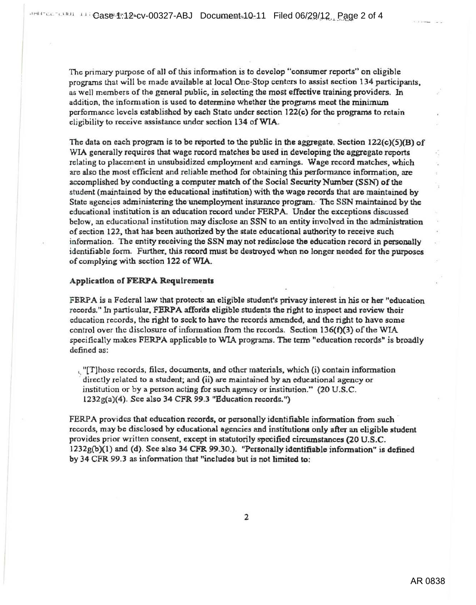The primary purpose of all of this information is to develop "consumer reports" on eligible programs that will be made available at local One-Stop centers to assist section 134 participants. as well members of the general public, in selecting the most effective training providers. In addition, the information is used to determine whether the programs meet the minimum performance levels established by each State under section 122(c) for the programs to retain eligibility to receive assistance under section 134 of WIA.

The data on each program is to be reported to the public in the aggregate. Section  $122(c)(5)(B)$  of WIA generally requires that wage record matches be used in developing the aggregate reports relating to placement in unsubsidized employment and earnings. Wage record matches, which are also the most efficient and reliable method for obtaining this performance information, are accomplished by conducting a computer match of the Social Security Number (SSN) of the student (maintained by the educational institution) with the wage records that are maintained by State agencies administering the unemployment insurance program. The SSN maintained by the educational institution is an education record under FERPA. Under the exceptions discussed below. an educational institution may discJose an SSN to an entity involved in the administration of section 122, that has been authorized by the state educational authority to receive such information. The entity receiving the SSN may not redisclose the education record in personally identifiable form. Further, this record must be destroyed when no longer needed for the purposes of complying with section 122 ofWIA.

### Application of FERPA Requlremeats

FERPA is a Federal law that protects an eligible student's privacy interest in his or her "education" records." In particular, FERPA affords eligible students the right to inspect and review their education records, the right to seek to have the records amended, and the right to havo some control over the disclosure of information from the records. Section  $136(f)(3)$  of the WIA specifically makes FERPA applicable to WIA programs. The term "education records" is broadly defined as:

 $\mathcal{L}$  [T]hose records, files, documents, and other materials, which (i) contain information directly relnted to a student; and (ii) are maintained by an educational agency or institution or by a person acting for such agency or institution." (20 U.S.C. 1232g(a)(4). See also 34 CFR 99.3 "Education records.")

FERPA provides that education records, or personally identifiable information from such records, may be disclosed by educational agencies and institutions only after an eligible student provides prior written consent, except in statutorily speeified circumstances (20 U.S.C. 1232g{b)(l) and (d). See also 34 CFR 99.30.). ''Personally identifiable information" is defined by 34 CFR 99.3 as infonnation that "includes but is not limited to:

2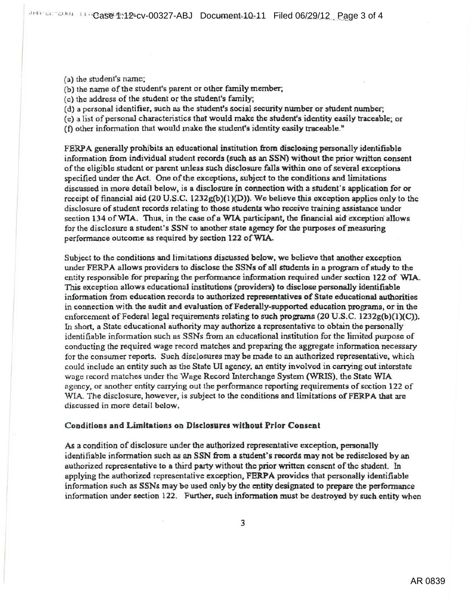- (a) the student's name:
- (b) the name of the student's parent or other family member;
- (c) the address of the student or the student's family;
- (d) a personal identifier, such as the student's social security number or student number;
- (e) a list of personal characteristics that would make the student's identity easily traceable; or
- (f) other information that would make the student's identity easily traceable."

FERPA generally prohibits an educational institution from disclosing personally identifiable information from individual student records (such as an SSN) without the prior written consent of the eligible student or parent unless such disclosure falls within one of several exceptions specified under the Act. One of the exceptions, subject to the conditions and limitations discussed in more detail below, is a disclosure in connection with a student's application for or receipt of financial aid (20 U.S.C.  $1232g(b)(1)(D)$ ). We believe this exception applies only to the disclosure of student records relating to those students who receive training assistance under section 134 of WIA. Thus, in the case of a WIA participant, the financial aid exception allows for the disclosure a student's SSN to another state agency for the purposes of measuring performance outcome as required by section 122 of WIA.

Subject to the conditions and limitations discussed below. we believe that anqther exception under FERPA allows providers to disclose the SSNs of all students in a program of study to the entity responsible for preparing the performance information required under section 122 of WIA. This exception allows educational institutions (providers) to disclose personally identifiable information from education records to authorized representatives of State educational authorities in connection with the audit and evaluation of Federally-supported education programs, or in the enforcement of Federal legal requirements relating to such programs (20 U.S.C. 1232g(b)(1)(C)). In short, a State educational authority may authorize a representative to obtain the personally identifiable information such as SSNs from an educational institution for the limited purpose of conducting the required wage record matches and preparing the aggregate information necessary for the consumer reports. Such disclosures may be made to an authorized representative, which could include an entity such as the State UI agency, an entity involved in carrying out interstate wage record matches under the Wage Record Interchange System (WRIS), the State WIA agency, or another entity carrying out the performance reporting requirements of section 122 of WIA. The disclosure, however, is subject to the conditions and limitations of FERPA that are discussed in more detail below.

# Conditions and Limitations on Disclosures without Prior Consent

As a condition of disclosure under the authorized representative exception, personally identifiable information such as an SSN from a student's records may not be redisclosed by an authorized representative to a third party without the prior written consent of the student. In applying the authorized representative exception, FERPA provides that personally identifiable information such as SSNs may be used only by the entity designated to prepare the performance information under section 122. Further, such information must be destroyed by such entity when